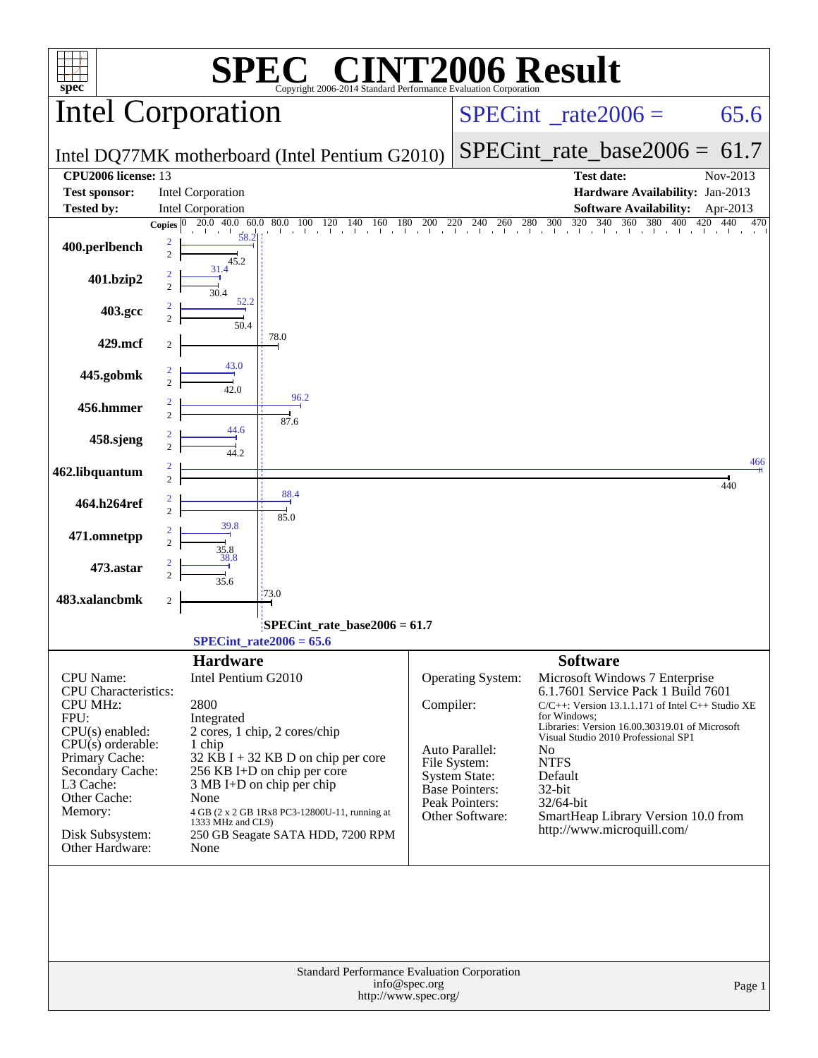| spec <sup>®</sup>                  | $\mathbf{P}(\mathbb{R})$<br>Copyright 2006-2014 Standard Performance Evaluation Corporation |           |                                        | <b>NT2006 Result</b>                                                                                                                                                                                                                                                                                                                                                                                             |
|------------------------------------|---------------------------------------------------------------------------------------------|-----------|----------------------------------------|------------------------------------------------------------------------------------------------------------------------------------------------------------------------------------------------------------------------------------------------------------------------------------------------------------------------------------------------------------------------------------------------------------------|
|                                    | <b>Intel Corporation</b>                                                                    |           |                                        | $SPECint^{\circ}$ <sub>_rate2006</sub> =<br>65.6                                                                                                                                                                                                                                                                                                                                                                 |
|                                    | Intel DQ77MK motherboard (Intel Pentium G2010)                                              |           |                                        | $SPECint_rate\_base2006 =$<br>61.7                                                                                                                                                                                                                                                                                                                                                                               |
| <b>CPU2006</b> license: 13         |                                                                                             |           |                                        | <b>Test date:</b><br>Nov-2013                                                                                                                                                                                                                                                                                                                                                                                    |
| <b>Test sponsor:</b>               | Intel Corporation                                                                           |           |                                        | Hardware Availability: Jan-2013                                                                                                                                                                                                                                                                                                                                                                                  |
| <b>Tested by:</b>                  | Intel Corporation                                                                           |           |                                        | <b>Software Availability:</b><br>Apr-2013                                                                                                                                                                                                                                                                                                                                                                        |
|                                    | Copies $ 0\rangle$<br>20.0 40.0 60.0                                                        |           |                                        | $80.0 \quad 100 \quad 120 \quad 140 \quad 160 \quad 180 \quad 200 \quad 220 \quad 240 \quad 260 \quad 280 \quad 300 \quad 320 \quad 340 \quad 360 \quad 380 \quad 400 \quad 420 \quad 420 \quad 420 \quad 540 \quad 550 \quad 560 \quad 560 \quad 570 \quad 580 \quad 590 \quad 590 \quad 590 \quad 590 \quad 590 \quad 590 \quad 590 \quad 590 \quad 590 \quad 590 \quad 590$<br>$\overline{420}$<br>440<br>470 |
| 400.perlbench                      | 58.2<br>2<br>$\overline{c}$<br>45.2                                                         |           |                                        |                                                                                                                                                                                                                                                                                                                                                                                                                  |
| 401.bzip2                          | 31.4<br>$\overline{c}$<br>30.4                                                              |           |                                        |                                                                                                                                                                                                                                                                                                                                                                                                                  |
| 403.gcc                            | 52.2<br>50.4                                                                                |           |                                        |                                                                                                                                                                                                                                                                                                                                                                                                                  |
| 429.mcf                            | 78.0<br>2                                                                                   |           |                                        |                                                                                                                                                                                                                                                                                                                                                                                                                  |
| 445.gobmk                          | 43.0<br>$\overline{c}$<br>42.0                                                              |           |                                        |                                                                                                                                                                                                                                                                                                                                                                                                                  |
| 456.hmmer                          | 96.2<br>$\overline{2}$<br>87.6                                                              |           |                                        |                                                                                                                                                                                                                                                                                                                                                                                                                  |
| 458.sjeng                          | 44.6<br>$\overline{c}$<br>44 2.                                                             |           |                                        |                                                                                                                                                                                                                                                                                                                                                                                                                  |
| 462.libquantum                     | $\overline{2}$                                                                              |           |                                        | 466<br>440                                                                                                                                                                                                                                                                                                                                                                                                       |
| 464.h264ref                        | 88.4<br>$\overline{c}$<br>85.0                                                              |           |                                        |                                                                                                                                                                                                                                                                                                                                                                                                                  |
| 471.omnetpp                        | 39.8<br>$\overline{c}$<br>35.8                                                              |           |                                        |                                                                                                                                                                                                                                                                                                                                                                                                                  |
| 473.astar                          | 38.8<br>35.6                                                                                |           |                                        |                                                                                                                                                                                                                                                                                                                                                                                                                  |
| 483.xalancbmk                      | 173.0<br>2                                                                                  |           |                                        |                                                                                                                                                                                                                                                                                                                                                                                                                  |
|                                    | $SPECint_rate_base2006 = 61.7$<br>$SPECTnt_rate2006 = 65.6$                                 |           |                                        |                                                                                                                                                                                                                                                                                                                                                                                                                  |
|                                    | <b>Hardware</b>                                                                             |           |                                        | <b>Software</b>                                                                                                                                                                                                                                                                                                                                                                                                  |
| <b>CPU</b> Name:                   | Intel Pentium G2010                                                                         |           | Operating System:                      | Microsoft Windows 7 Enterprise                                                                                                                                                                                                                                                                                                                                                                                   |
| CPU Characteristics:               |                                                                                             |           |                                        | 6.1.7601 Service Pack 1 Build 7601                                                                                                                                                                                                                                                                                                                                                                               |
| <b>CPU MHz:</b><br>FPU:            | 2800                                                                                        | Compiler: |                                        | C/C++: Version 13.1.1.171 of Intel C++ Studio XE<br>for Windows:                                                                                                                                                                                                                                                                                                                                                 |
| CPU(s) enabled:                    | Integrated<br>2 cores, 1 chip, 2 cores/chip                                                 |           |                                        | Libraries: Version 16.00.30319.01 of Microsoft                                                                                                                                                                                                                                                                                                                                                                   |
| $CPU(s)$ orderable:                | 1 chip                                                                                      |           | Auto Parallel:                         | Visual Studio 2010 Professional SP1<br>N <sub>0</sub>                                                                                                                                                                                                                                                                                                                                                            |
| Primary Cache:<br>Secondary Cache: | $32$ KB I + 32 KB D on chip per core                                                        |           | File System:                           | <b>NTFS</b>                                                                                                                                                                                                                                                                                                                                                                                                      |
| L3 Cache:                          | 256 KB I+D on chip per core<br>$3 MB I+D$ on chip per chip                                  |           | <b>System State:</b><br>Base Pointers: | Default<br>32-bit                                                                                                                                                                                                                                                                                                                                                                                                |
| Other Cache:                       | None                                                                                        |           | Peak Pointers:                         | 32/64-bit                                                                                                                                                                                                                                                                                                                                                                                                        |
| Memory:                            | 4 GB (2 x 2 GB 1Rx8 PC3-12800U-11, running at<br>1333 MHz and CL9)                          |           | Other Software:                        | SmartHeap Library Version 10.0 from                                                                                                                                                                                                                                                                                                                                                                              |
| Disk Subsystem:<br>Other Hardware: | 250 GB Seagate SATA HDD, 7200 RPM<br>None                                                   |           |                                        | http://www.microquill.com/                                                                                                                                                                                                                                                                                                                                                                                       |
|                                    | Standard Performance Evaluation Corporation                                                 |           |                                        |                                                                                                                                                                                                                                                                                                                                                                                                                  |
|                                    | info@spec.org<br>http://www.spec.org/                                                       |           |                                        | Page 1                                                                                                                                                                                                                                                                                                                                                                                                           |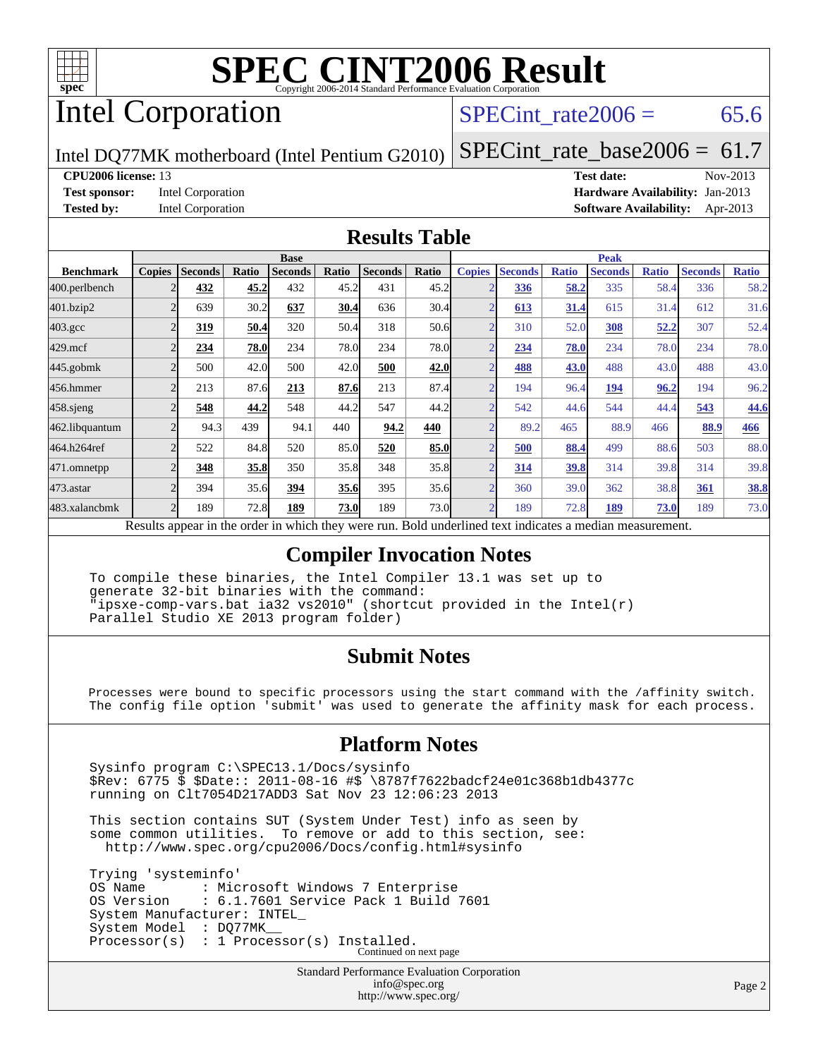

# Intel Corporation

SPECint rate $2006 = 65.6$ 

Intel DQ77MK motherboard (Intel Pentium G2010)

[SPECint\\_rate\\_base2006 =](http://www.spec.org/auto/cpu2006/Docs/result-fields.html#SPECintratebase2006)  $61.7$ 

#### **[CPU2006 license:](http://www.spec.org/auto/cpu2006/Docs/result-fields.html#CPU2006license)** 13 **[Test date:](http://www.spec.org/auto/cpu2006/Docs/result-fields.html#Testdate)** Nov-2013

**[Test sponsor:](http://www.spec.org/auto/cpu2006/Docs/result-fields.html#Testsponsor)** Intel Corporation **[Hardware Availability:](http://www.spec.org/auto/cpu2006/Docs/result-fields.html#HardwareAvailability)** Jan-2013 **[Tested by:](http://www.spec.org/auto/cpu2006/Docs/result-fields.html#Testedby)** Intel Corporation **[Software Availability:](http://www.spec.org/auto/cpu2006/Docs/result-fields.html#SoftwareAvailability)** Apr-2013

#### **[Results Table](http://www.spec.org/auto/cpu2006/Docs/result-fields.html#ResultsTable)**

|                                                                | <b>Base</b>   |                   |              |                |       |                | <b>Peak</b> |               |                |              |                |              |                |              |
|----------------------------------------------------------------|---------------|-------------------|--------------|----------------|-------|----------------|-------------|---------------|----------------|--------------|----------------|--------------|----------------|--------------|
| <b>Benchmark</b>                                               | <b>Copies</b> | <b>Seconds</b>    | Ratio        | <b>Seconds</b> | Ratio | <b>Seconds</b> | Ratio       | <b>Copies</b> | <b>Seconds</b> | <b>Ratio</b> | <b>Seconds</b> | <b>Ratio</b> | <b>Seconds</b> | <b>Ratio</b> |
| 400.perlbench                                                  |               | 432               | 45.2         | 432            | 45.2  | 431            | 45.2        |               | 336            | 58.2         | 335            | 58.4         | 336            | 58.2         |
| 401.bzip2                                                      |               | 639               | 30.2         | 637            | 30.4  | 636            | 30.4        |               | 613            | 31.4         | 615            | 31.4         | 612            | 31.6         |
| $403.\mathrm{gcc}$                                             |               | 319               | 50.4         | 320            | 50.4  | 318            | 50.6        |               | 310            | 52.0         | 308            | 52,2         | 307            | 52.4         |
| $429$ .mcf                                                     |               | 234               | 78.0         | 234            | 78.0  | 234            | 78.0        |               | 234            | 78.0         | 234            | 78.0         | 234            | 78.0         |
| $445$ .gobmk                                                   |               | 500               | 42.0         | 500            | 42.0  | 500            | 42.0        | ◠             | 488            | 43.0         | 488            | 43.0         | 488            | 43.0         |
| 456.hmmer                                                      |               | 213               | 87.6         | 213            | 87.6  | 213            | 87.4        |               | 194            | 96.4         | 194            | 96.2         | 194            | 96.2         |
| $458$ .sjeng                                                   |               | 548               | 44.2         | 548            | 44.2  | 547            | 44.2        |               | 542            | 44.6         | 544            | 44.4         | 543            | 44.6         |
| 462.libquantum                                                 |               | 94.3              | 439          | 94.1           | 440   | 94.2           | 440         |               | 89.2           | 465          | 88.9           | 466          | 88.9           | 466          |
|                                                                |               | 522               | 84.8         | 520            | 85.0  | 520            | 85.0        |               | 500            | 88.4         | 499            | 88.6         | 503            | 88.0         |
|                                                                |               | 348               | 35.8         | 350            | 35.8  | 348            | 35.8        |               | 314            | 39.8         | 314            | 39.8         | 314            | 39.8         |
|                                                                |               | 394               | 35.6         | 394            | 35.6  | 395            | 35.6        |               | 360            | 39.0         | 362            | 38.8         | 361            | <u>38.8</u>  |
|                                                                |               | 189               | 72.8         | 189            | 73.0  | 189            | 73.0        |               | 189            | 72.8         | 189            | <b>73.0</b>  | 189            | 73.0         |
| 464.h264ref<br>471.omnetpp<br>473.astar<br>483.xalancbmk<br>n. |               | $\cdot$ $\cdot$ 1 | $\mathbf{1}$ | 1.1.1          |       |                | T11         |               | .              |              |                |              |                |              |

Results appear in the [order in which they were run.](http://www.spec.org/auto/cpu2006/Docs/result-fields.html#RunOrder) Bold underlined text [indicates a median measurement.](http://www.spec.org/auto/cpu2006/Docs/result-fields.html#Median)

#### **[Compiler Invocation Notes](http://www.spec.org/auto/cpu2006/Docs/result-fields.html#CompilerInvocationNotes)**

 To compile these binaries, the Intel Compiler 13.1 was set up to generate 32-bit binaries with the command: "ipsxe-comp-vars.bat ia32 vs2010" (shortcut provided in the Intel(r) Parallel Studio XE 2013 program folder)

#### **[Submit Notes](http://www.spec.org/auto/cpu2006/Docs/result-fields.html#SubmitNotes)**

 Processes were bound to specific processors using the start command with the /affinity switch. The config file option 'submit' was used to generate the affinity mask for each process.

#### **[Platform Notes](http://www.spec.org/auto/cpu2006/Docs/result-fields.html#PlatformNotes)**

 Sysinfo program C:\SPEC13.1/Docs/sysinfo \$Rev: 6775 \$ \$Date:: 2011-08-16 #\$ \8787f7622badcf24e01c368b1db4377c running on Clt7054D217ADD3 Sat Nov 23 12:06:23 2013

 This section contains SUT (System Under Test) info as seen by some common utilities. To remove or add to this section, see: <http://www.spec.org/cpu2006/Docs/config.html#sysinfo>

 Trying 'systeminfo' OS Name : Microsoft Windows 7 Enterprise<br>OS Version : 6.1.7601 Service Pack 1 Build : 6.1.7601 Service Pack 1 Build 7601 System Manufacturer: INTEL\_ System Model : DO77MK Processor(s) : 1 Processor(s) Installed. Continued on next page

> Standard Performance Evaluation Corporation [info@spec.org](mailto:info@spec.org) <http://www.spec.org/>

Page 2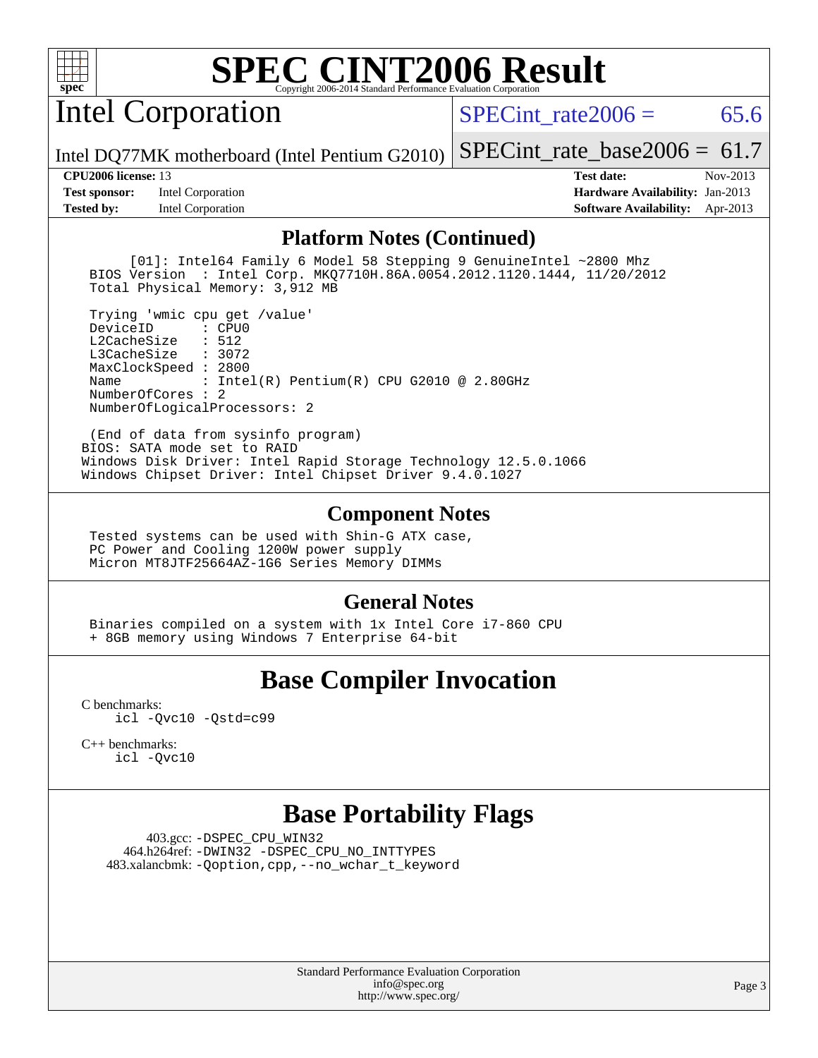

# Intel Corporation

SPECint rate $2006 = 65.6$ 

Intel DQ77MK motherboard (Intel Pentium G2010)

[SPECint\\_rate\\_base2006 =](http://www.spec.org/auto/cpu2006/Docs/result-fields.html#SPECintratebase2006)  $61.7$ **[CPU2006 license:](http://www.spec.org/auto/cpu2006/Docs/result-fields.html#CPU2006license)** 13 **[Test date:](http://www.spec.org/auto/cpu2006/Docs/result-fields.html#Testdate)** Nov-2013

**[Test sponsor:](http://www.spec.org/auto/cpu2006/Docs/result-fields.html#Testsponsor)** Intel Corporation **[Hardware Availability:](http://www.spec.org/auto/cpu2006/Docs/result-fields.html#HardwareAvailability)** Jan-2013 **[Tested by:](http://www.spec.org/auto/cpu2006/Docs/result-fields.html#Testedby)** Intel Corporation **[Software Availability:](http://www.spec.org/auto/cpu2006/Docs/result-fields.html#SoftwareAvailability)** Apr-2013

#### **[Platform Notes \(Continued\)](http://www.spec.org/auto/cpu2006/Docs/result-fields.html#PlatformNotes)**

 [01]: Intel64 Family 6 Model 58 Stepping 9 GenuineIntel ~2800 Mhz BIOS Version : Intel Corp. MKQ7710H.86A.0054.2012.1120.1444, 11/20/2012 Total Physical Memory: 3,912 MB

 Trying 'wmic cpu get /value' DeviceID L2CacheSize : 512 L3CacheSize : 3072 MaxClockSpeed : 2800 Name : Intel(R) Pentium(R) CPU G2010 @ 2.80GHz NumberOfCores : 2 NumberOfLogicalProcessors: 2

 (End of data from sysinfo program) BIOS: SATA mode set to RAID Windows Disk Driver: Intel Rapid Storage Technology 12.5.0.1066 Windows Chipset Driver: Intel Chipset Driver 9.4.0.1027

#### **[Component Notes](http://www.spec.org/auto/cpu2006/Docs/result-fields.html#ComponentNotes)**

 Tested systems can be used with Shin-G ATX case, PC Power and Cooling 1200W power supply Micron MT8JTF25664AZ-1G6 Series Memory DIMMs

### **[General Notes](http://www.spec.org/auto/cpu2006/Docs/result-fields.html#GeneralNotes)**

 Binaries compiled on a system with 1x Intel Core i7-860 CPU + 8GB memory using Windows 7 Enterprise 64-bit

# **[Base Compiler Invocation](http://www.spec.org/auto/cpu2006/Docs/result-fields.html#BaseCompilerInvocation)**

[C benchmarks](http://www.spec.org/auto/cpu2006/Docs/result-fields.html#Cbenchmarks): [icl -Qvc10](http://www.spec.org/cpu2006/results/res2014q3/cpu2006-20140701-30219.flags.html#user_CCbase_intel_icc_vc10_9607f3ecbcdf68042245f068e51b40c1) [-Qstd=c99](http://www.spec.org/cpu2006/results/res2014q3/cpu2006-20140701-30219.flags.html#user_CCbase_intel_compiler_c99_mode_1a3d110e3041b3ad4466830521bdad2a)

[C++ benchmarks:](http://www.spec.org/auto/cpu2006/Docs/result-fields.html#CXXbenchmarks) [icl -Qvc10](http://www.spec.org/cpu2006/results/res2014q3/cpu2006-20140701-30219.flags.html#user_CXXbase_intel_icc_vc10_9607f3ecbcdf68042245f068e51b40c1)

## **[Base Portability Flags](http://www.spec.org/auto/cpu2006/Docs/result-fields.html#BasePortabilityFlags)**

 403.gcc: [-DSPEC\\_CPU\\_WIN32](http://www.spec.org/cpu2006/results/res2014q3/cpu2006-20140701-30219.flags.html#b403.gcc_baseCPORTABILITY_DSPEC_CPU_WIN32) 464.h264ref: [-DWIN32](http://www.spec.org/cpu2006/results/res2014q3/cpu2006-20140701-30219.flags.html#b464.h264ref_baseCPORTABILITY_DWIN32) [-DSPEC\\_CPU\\_NO\\_INTTYPES](http://www.spec.org/cpu2006/results/res2014q3/cpu2006-20140701-30219.flags.html#b464.h264ref_baseCPORTABILITY_DSPEC_CPU_NO_INTTYPES) 483.xalancbmk: [-Qoption,cpp,--no\\_wchar\\_t\\_keyword](http://www.spec.org/cpu2006/results/res2014q3/cpu2006-20140701-30219.flags.html#user_baseCXXPORTABILITY483_xalancbmk_f-no_wchar_t_keyword_ec0ad4495a16b4e858bfcb29d949d25d)

> Standard Performance Evaluation Corporation [info@spec.org](mailto:info@spec.org) <http://www.spec.org/>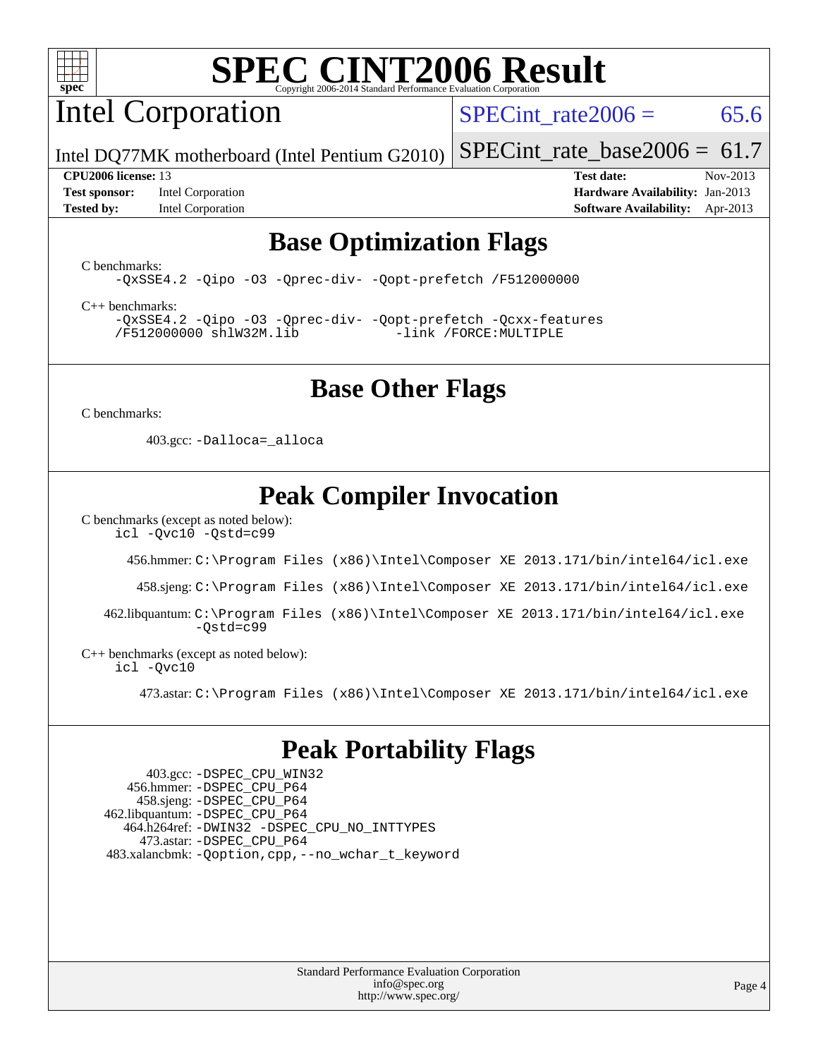

# Intel Corporation

SPECint rate  $2006 = 65.6$ 

Intel DQ77MK motherboard (Intel Pentium G2010) [SPECint\\_rate\\_base2006 =](http://www.spec.org/auto/cpu2006/Docs/result-fields.html#SPECintratebase2006)  $61.7$ 

**[Test sponsor:](http://www.spec.org/auto/cpu2006/Docs/result-fields.html#Testsponsor)** Intel Corporation **[Hardware Availability:](http://www.spec.org/auto/cpu2006/Docs/result-fields.html#HardwareAvailability)** Jan-2013 **[Tested by:](http://www.spec.org/auto/cpu2006/Docs/result-fields.html#Testedby)** Intel Corporation **[Software Availability:](http://www.spec.org/auto/cpu2006/Docs/result-fields.html#SoftwareAvailability)** Apr-2013

**[CPU2006 license:](http://www.spec.org/auto/cpu2006/Docs/result-fields.html#CPU2006license)** 13 **[Test date:](http://www.spec.org/auto/cpu2006/Docs/result-fields.html#Testdate)** Nov-2013

## **[Base Optimization Flags](http://www.spec.org/auto/cpu2006/Docs/result-fields.html#BaseOptimizationFlags)**

[C benchmarks](http://www.spec.org/auto/cpu2006/Docs/result-fields.html#Cbenchmarks):

[-QxSSE4.2](http://www.spec.org/cpu2006/results/res2014q3/cpu2006-20140701-30219.flags.html#user_CCbase_f-QxSSE42_372695bbe211719895df0310b324a1ca) [-Qipo](http://www.spec.org/cpu2006/results/res2014q3/cpu2006-20140701-30219.flags.html#user_CCbase_f-Qipo) [-O3](http://www.spec.org/cpu2006/results/res2014q3/cpu2006-20140701-30219.flags.html#user_CCbase_f-O3) [-Qprec-div-](http://www.spec.org/cpu2006/results/res2014q3/cpu2006-20140701-30219.flags.html#user_CCbase_f-Qprec-div-) [-Qopt-prefetch](http://www.spec.org/cpu2006/results/res2014q3/cpu2006-20140701-30219.flags.html#user_CCbase_f-Qprefetch_37c211608666b9dff9380561f602f0a8) [/F512000000](http://www.spec.org/cpu2006/results/res2014q3/cpu2006-20140701-30219.flags.html#user_CCbase_set_stack_space_98438a10eb60aa5f35f4c79d9b9b27b1)

[C++ benchmarks:](http://www.spec.org/auto/cpu2006/Docs/result-fields.html#CXXbenchmarks)

[-QxSSE4.2](http://www.spec.org/cpu2006/results/res2014q3/cpu2006-20140701-30219.flags.html#user_CXXbase_f-QxSSE42_372695bbe211719895df0310b324a1ca) [-Qipo](http://www.spec.org/cpu2006/results/res2014q3/cpu2006-20140701-30219.flags.html#user_CXXbase_f-Qipo) [-O3](http://www.spec.org/cpu2006/results/res2014q3/cpu2006-20140701-30219.flags.html#user_CXXbase_f-O3) [-Qprec-div-](http://www.spec.org/cpu2006/results/res2014q3/cpu2006-20140701-30219.flags.html#user_CXXbase_f-Qprec-div-) [-Qopt-prefetch](http://www.spec.org/cpu2006/results/res2014q3/cpu2006-20140701-30219.flags.html#user_CXXbase_f-Qprefetch_37c211608666b9dff9380561f602f0a8) [-Qcxx-features](http://www.spec.org/cpu2006/results/res2014q3/cpu2006-20140701-30219.flags.html#user_CXXbase_f-Qcxx_features_dbf36c8a6dba956e22f1645e4dcd4d98) [/F512000000](http://www.spec.org/cpu2006/results/res2014q3/cpu2006-20140701-30219.flags.html#user_CXXbase_set_stack_space_98438a10eb60aa5f35f4c79d9b9b27b1) [shlW32M.lib](http://www.spec.org/cpu2006/results/res2014q3/cpu2006-20140701-30219.flags.html#user_CXXbase_SmartHeap32_d106338dfda1a055705c9b519e07f096) [-link /FORCE:MULTIPLE](http://www.spec.org/cpu2006/results/res2014q3/cpu2006-20140701-30219.flags.html#user_CXXbase_link_force_multiple2_070fe330869edf77077b841074b8b0b6)

## **[Base Other Flags](http://www.spec.org/auto/cpu2006/Docs/result-fields.html#BaseOtherFlags)**

[C benchmarks](http://www.spec.org/auto/cpu2006/Docs/result-fields.html#Cbenchmarks):

403.gcc: [-Dalloca=\\_alloca](http://www.spec.org/cpu2006/results/res2014q3/cpu2006-20140701-30219.flags.html#b403.gcc_baseEXTRA_CFLAGS_Dalloca_be3056838c12de2578596ca5467af7f3)

## **[Peak Compiler Invocation](http://www.spec.org/auto/cpu2006/Docs/result-fields.html#PeakCompilerInvocation)**

[C benchmarks \(except as noted below\)](http://www.spec.org/auto/cpu2006/Docs/result-fields.html#Cbenchmarksexceptasnotedbelow):

[icl -Qvc10](http://www.spec.org/cpu2006/results/res2014q3/cpu2006-20140701-30219.flags.html#user_CCpeak_intel_icc_vc10_9607f3ecbcdf68042245f068e51b40c1) [-Qstd=c99](http://www.spec.org/cpu2006/results/res2014q3/cpu2006-20140701-30219.flags.html#user_CCpeak_intel_compiler_c99_mode_1a3d110e3041b3ad4466830521bdad2a)

456.hmmer: [C:\Program Files \(x86\)\Intel\Composer XE 2013.171/bin/intel64/icl.exe](http://www.spec.org/cpu2006/results/res2014q3/cpu2006-20140701-30219.flags.html#user_peakCCLD456_hmmer_intel_icc_64bit_a47adb23ffeeb40a4c72a454746f326c)

458.sjeng: [C:\Program Files \(x86\)\Intel\Composer XE 2013.171/bin/intel64/icl.exe](http://www.spec.org/cpu2006/results/res2014q3/cpu2006-20140701-30219.flags.html#user_peakCCLD458_sjeng_intel_icc_64bit_a47adb23ffeeb40a4c72a454746f326c)

 462.libquantum: [C:\Program Files \(x86\)\Intel\Composer XE 2013.171/bin/intel64/icl.exe](http://www.spec.org/cpu2006/results/res2014q3/cpu2006-20140701-30219.flags.html#user_peakCCLD462_libquantum_intel_icc_64bit_a47adb23ffeeb40a4c72a454746f326c) [-Qstd=c99](http://www.spec.org/cpu2006/results/res2014q3/cpu2006-20140701-30219.flags.html#user_peakCCLD462_libquantum_intel_compiler_c99_mode_1a3d110e3041b3ad4466830521bdad2a)

[C++ benchmarks \(except as noted below\):](http://www.spec.org/auto/cpu2006/Docs/result-fields.html#CXXbenchmarksexceptasnotedbelow) [icl -Qvc10](http://www.spec.org/cpu2006/results/res2014q3/cpu2006-20140701-30219.flags.html#user_CXXpeak_intel_icc_vc10_9607f3ecbcdf68042245f068e51b40c1)

473.astar: [C:\Program Files \(x86\)\Intel\Composer XE 2013.171/bin/intel64/icl.exe](http://www.spec.org/cpu2006/results/res2014q3/cpu2006-20140701-30219.flags.html#user_peakCXXLD473_astar_intel_icc_64bit_a47adb23ffeeb40a4c72a454746f326c)

## **[Peak Portability Flags](http://www.spec.org/auto/cpu2006/Docs/result-fields.html#PeakPortabilityFlags)**

 403.gcc: [-DSPEC\\_CPU\\_WIN32](http://www.spec.org/cpu2006/results/res2014q3/cpu2006-20140701-30219.flags.html#b403.gcc_peakCPORTABILITY_DSPEC_CPU_WIN32) 456.hmmer: [-DSPEC\\_CPU\\_P64](http://www.spec.org/cpu2006/results/res2014q3/cpu2006-20140701-30219.flags.html#suite_peakPORTABILITY456_hmmer_DSPEC_CPU_P64) 458.sjeng: [-DSPEC\\_CPU\\_P64](http://www.spec.org/cpu2006/results/res2014q3/cpu2006-20140701-30219.flags.html#suite_peakPORTABILITY458_sjeng_DSPEC_CPU_P64) 462.libquantum: [-DSPEC\\_CPU\\_P64](http://www.spec.org/cpu2006/results/res2014q3/cpu2006-20140701-30219.flags.html#suite_peakPORTABILITY462_libquantum_DSPEC_CPU_P64) 464.h264ref: [-DWIN32](http://www.spec.org/cpu2006/results/res2014q3/cpu2006-20140701-30219.flags.html#b464.h264ref_peakCPORTABILITY_DWIN32) [-DSPEC\\_CPU\\_NO\\_INTTYPES](http://www.spec.org/cpu2006/results/res2014q3/cpu2006-20140701-30219.flags.html#b464.h264ref_peakCPORTABILITY_DSPEC_CPU_NO_INTTYPES) 473.astar: [-DSPEC\\_CPU\\_P64](http://www.spec.org/cpu2006/results/res2014q3/cpu2006-20140701-30219.flags.html#suite_peakPORTABILITY473_astar_DSPEC_CPU_P64) 483.xalancbmk: [-Qoption,cpp,--no\\_wchar\\_t\\_keyword](http://www.spec.org/cpu2006/results/res2014q3/cpu2006-20140701-30219.flags.html#user_peakCXXPORTABILITY483_xalancbmk_f-no_wchar_t_keyword_ec0ad4495a16b4e858bfcb29d949d25d)

> Standard Performance Evaluation Corporation [info@spec.org](mailto:info@spec.org) <http://www.spec.org/>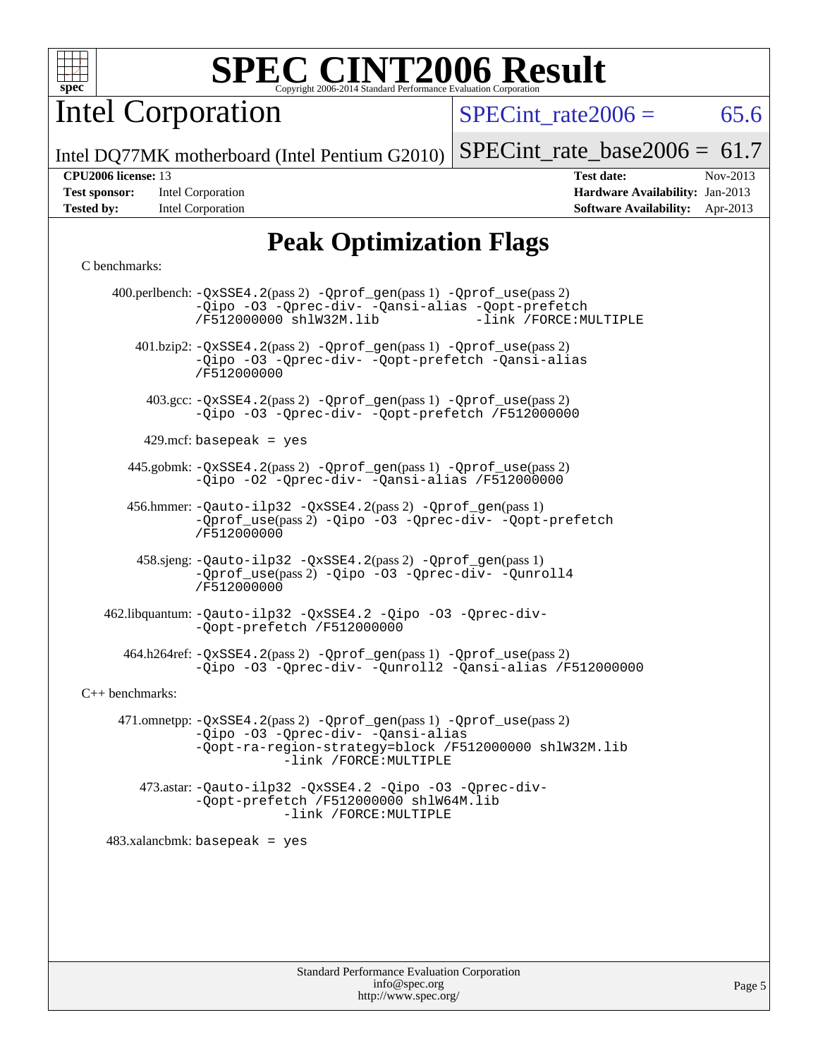

Intel Corporation

 $SPECTnt_rate2006 = 65.6$ 

Intel DQ77MK motherboard (Intel Pentium G2010)

| <b>Test sponsor:</b> | Intel Corporation |
|----------------------|-------------------|
| <b>Tested by:</b>    | Intel Corporation |

[SPECint\\_rate\\_base2006 =](http://www.spec.org/auto/cpu2006/Docs/result-fields.html#SPECintratebase2006) 61.7 **[CPU2006 license:](http://www.spec.org/auto/cpu2006/Docs/result-fields.html#CPU2006license)** 13 **[Test date:](http://www.spec.org/auto/cpu2006/Docs/result-fields.html#Testdate)** Nov-2013 **[Hardware Availability:](http://www.spec.org/auto/cpu2006/Docs/result-fields.html#HardwareAvailability)** Jan-2013

**[Software Availability:](http://www.spec.org/auto/cpu2006/Docs/result-fields.html#SoftwareAvailability)** Apr-2013

# **[Peak Optimization Flags](http://www.spec.org/auto/cpu2006/Docs/result-fields.html#PeakOptimizationFlags)**

#### [C benchmarks](http://www.spec.org/auto/cpu2006/Docs/result-fields.html#Cbenchmarks):

|                   | 400.perlbench: -QxSSE4.2(pass 2) -Qprof_gen(pass 1) -Qprof_use(pass 2)<br>-Qipo -03 -Qprec-div- -Qansi-alias -Qopt-prefetch<br>-link /FORCE: MULTIPLE<br>/F512000000 shlW32M.lib               |
|-------------------|------------------------------------------------------------------------------------------------------------------------------------------------------------------------------------------------|
|                   | 401.bzip2: -QxSSE4.2(pass 2) -Qprof_gen(pass 1) -Qprof_use(pass 2)<br>-Qipo -03 -Qprec-div- -Qopt-prefetch -Qansi-alias<br>/F512000000                                                         |
|                   | 403.gcc: -QxSSE4.2(pass 2) -Qprof_gen(pass 1) -Qprof_use(pass 2)<br>-Qipo -03 -Qprec-div- -Qopt-prefetch /F512000000                                                                           |
|                   | $429$ .mcf: basepeak = yes                                                                                                                                                                     |
|                   | 445.gobmk: -QxSSE4.2(pass 2) -Qprof_gen(pass 1) -Qprof_use(pass 2)<br>-Qipo -02 -Qprec-div- -Qansi-alias /F512000000                                                                           |
|                   | 456.hmmer: -Qauto-ilp32 -QxSSE4.2(pass 2) -Qprof_gen(pass 1)<br>-Oprof_use(pass 2) -Qipo -03 -Oprec-div- -Oopt-prefetch<br>/F512000000                                                         |
|                   | 458.sjeng: - Qauto-ilp32 - QxSSE4.2(pass 2) - Qprof_gen(pass 1)<br>-Qprof_use(pass 2) -Qipo -03 -Qprec-div- -Qunroll4<br>/F512000000                                                           |
|                   | 462.libquantum: -Qauto-ilp32 -QxSSE4.2 -Qipo -03 -Qprec-div-<br>-Qopt-prefetch /F512000000                                                                                                     |
|                   | 464.h264ref: -QxSSE4.2(pass 2) -Qprof_gen(pass 1) -Qprof_use(pass 2)<br>-Qipo -03 -Qprec-div- -Qunroll2 -Qansi-alias /F512000000                                                               |
| $C++$ benchmarks: |                                                                                                                                                                                                |
|                   | 471.omnetpp: -QxSSE4.2(pass 2) -Qprof_gen(pass 1) -Qprof_use(pass 2)<br>-Qipo -03 -Qprec-div- -Qansi-alias<br>-Qopt-ra-region-strategy=block /F512000000 shlW32M.lib<br>-link /FORCE: MULTIPLE |
|                   | 473.astar: -Qauto-ilp32 -QxSSE4.2 -Qipo -03 -Qprec-div-<br>-Qopt-prefetch /F512000000 shlW64M.lib<br>-link /FORCE: MULTIPLE                                                                    |
|                   | $483.xalanchmk: basepeak = yes$                                                                                                                                                                |
|                   |                                                                                                                                                                                                |
|                   |                                                                                                                                                                                                |